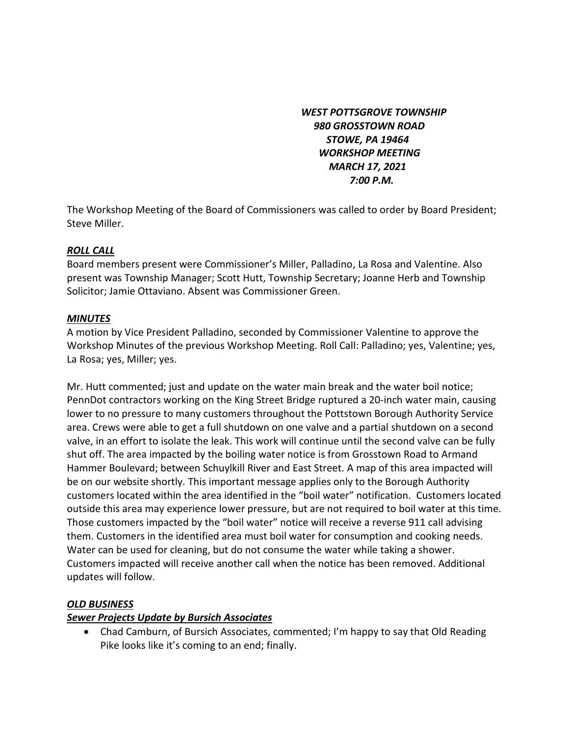*WEST POTTSGROVE TOWNSHIP 980 GROSSTOWN ROAD STOWE, PA 19464 WORKSHOP MEETING MARCH 17, 2021 7:00 P.M.* 

The Workshop Meeting of the Board of Commissioners was called to order by Board President; Steve Miller.

## *ROLL CALL*

Board members present were Commissioner's Miller, Palladino, La Rosa and Valentine. Also present was Township Manager; Scott Hutt, Township Secretary; Joanne Herb and Township Solicitor; Jamie Ottaviano. Absent was Commissioner Green.

## *MINUTES*

A motion by Vice President Palladino, seconded by Commissioner Valentine to approve the Workshop Minutes of the previous Workshop Meeting. Roll Call: Palladino; yes, Valentine; yes, La Rosa; yes, Miller; yes.

Mr. Hutt commented; just and update on the water main break and the water boil notice; PennDot contractors working on the King Street Bridge ruptured a 20-inch water main, causing lower to no pressure to many customers throughout the Pottstown Borough Authority Service area. Crews were able to get a full shutdown on one valve and a partial shutdown on a second valve, in an effort to isolate the leak. This work will continue until the second valve can be fully shut off. The area impacted by the boiling water notice is from Grosstown Road to Armand Hammer Boulevard; between Schuylkill River and East Street. A map of this area impacted will be on our website shortly. This important message applies only to the Borough Authority customers located within the area identified in the "boil water" notification. Customers located outside this area may experience lower pressure, but are not required to boil water at this time. Those customers impacted by the "boil water" notice will receive a reverse 911 call advising them. Customers in the identified area must boil water for consumption and cooking needs. Water can be used for cleaning, but do not consume the water while taking a shower. Customers impacted will receive another call when the notice has been removed. Additional updates will follow.

# *OLD BUSINESS*

# *Sewer Projects Update by Bursich Associates*

 Chad Camburn, of Bursich Associates, commented; I'm happy to say that Old Reading Pike looks like it's coming to an end; finally.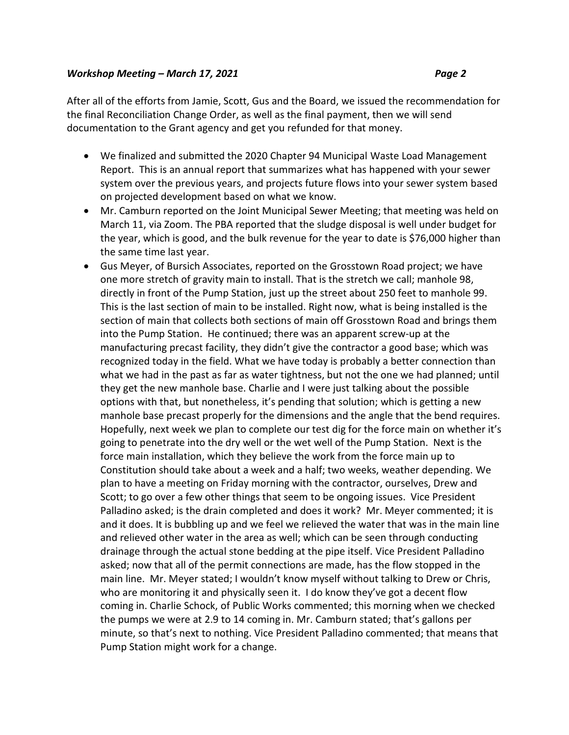After all of the efforts from Jamie, Scott, Gus and the Board, we issued the recommendation for the final Reconciliation Change Order, as well as the final payment, then we will send documentation to the Grant agency and get you refunded for that money.

- We finalized and submitted the 2020 Chapter 94 Municipal Waste Load Management Report. This is an annual report that summarizes what has happened with your sewer system over the previous years, and projects future flows into your sewer system based on projected development based on what we know.
- Mr. Camburn reported on the Joint Municipal Sewer Meeting; that meeting was held on March 11, via Zoom. The PBA reported that the sludge disposal is well under budget for the year, which is good, and the bulk revenue for the year to date is \$76,000 higher than the same time last year.
- Gus Meyer, of Bursich Associates, reported on the Grosstown Road project; we have one more stretch of gravity main to install. That is the stretch we call; manhole 98, directly in front of the Pump Station, just up the street about 250 feet to manhole 99. This is the last section of main to be installed. Right now, what is being installed is the section of main that collects both sections of main off Grosstown Road and brings them into the Pump Station. He continued; there was an apparent screw-up at the manufacturing precast facility, they didn't give the contractor a good base; which was recognized today in the field. What we have today is probably a better connection than what we had in the past as far as water tightness, but not the one we had planned; until they get the new manhole base. Charlie and I were just talking about the possible options with that, but nonetheless, it's pending that solution; which is getting a new manhole base precast properly for the dimensions and the angle that the bend requires. Hopefully, next week we plan to complete our test dig for the force main on whether it's going to penetrate into the dry well or the wet well of the Pump Station. Next is the force main installation, which they believe the work from the force main up to Constitution should take about a week and a half; two weeks, weather depending. We plan to have a meeting on Friday morning with the contractor, ourselves, Drew and Scott; to go over a few other things that seem to be ongoing issues. Vice President Palladino asked; is the drain completed and does it work? Mr. Meyer commented; it is and it does. It is bubbling up and we feel we relieved the water that was in the main line and relieved other water in the area as well; which can be seen through conducting drainage through the actual stone bedding at the pipe itself. Vice President Palladino asked; now that all of the permit connections are made, has the flow stopped in the main line. Mr. Meyer stated; I wouldn't know myself without talking to Drew or Chris, who are monitoring it and physically seen it. I do know they've got a decent flow coming in. Charlie Schock, of Public Works commented; this morning when we checked the pumps we were at 2.9 to 14 coming in. Mr. Camburn stated; that's gallons per minute, so that's next to nothing. Vice President Palladino commented; that means that Pump Station might work for a change.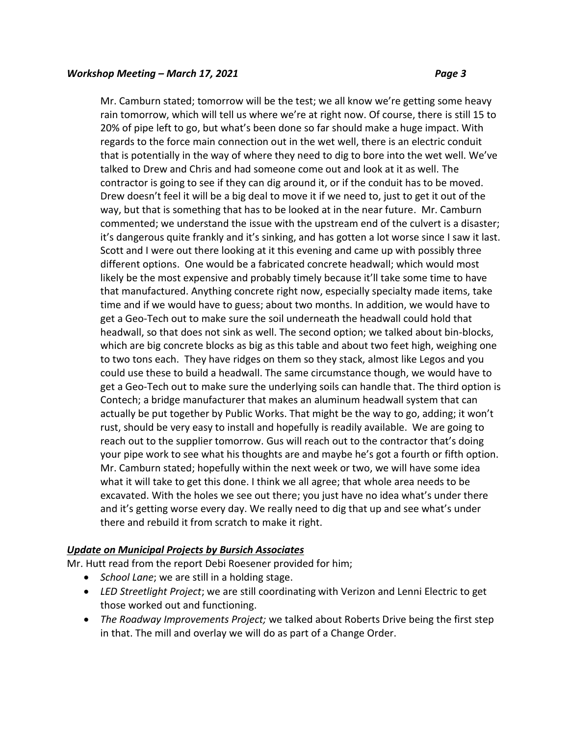Mr. Camburn stated; tomorrow will be the test; we all know we're getting some heavy rain tomorrow, which will tell us where we're at right now. Of course, there is still 15 to 20% of pipe left to go, but what's been done so far should make a huge impact. With regards to the force main connection out in the wet well, there is an electric conduit that is potentially in the way of where they need to dig to bore into the wet well. We've talked to Drew and Chris and had someone come out and look at it as well. The contractor is going to see if they can dig around it, or if the conduit has to be moved. Drew doesn't feel it will be a big deal to move it if we need to, just to get it out of the way, but that is something that has to be looked at in the near future. Mr. Camburn commented; we understand the issue with the upstream end of the culvert is a disaster; it's dangerous quite frankly and it's sinking, and has gotten a lot worse since I saw it last. Scott and I were out there looking at it this evening and came up with possibly three different options. One would be a fabricated concrete headwall; which would most likely be the most expensive and probably timely because it'll take some time to have that manufactured. Anything concrete right now, especially specialty made items, take time and if we would have to guess; about two months. In addition, we would have to get a Geo-Tech out to make sure the soil underneath the headwall could hold that headwall, so that does not sink as well. The second option; we talked about bin-blocks, which are big concrete blocks as big as this table and about two feet high, weighing one to two tons each. They have ridges on them so they stack, almost like Legos and you could use these to build a headwall. The same circumstance though, we would have to get a Geo-Tech out to make sure the underlying soils can handle that. The third option is Contech; a bridge manufacturer that makes an aluminum headwall system that can actually be put together by Public Works. That might be the way to go, adding; it won't rust, should be very easy to install and hopefully is readily available. We are going to reach out to the supplier tomorrow. Gus will reach out to the contractor that's doing your pipe work to see what his thoughts are and maybe he's got a fourth or fifth option. Mr. Camburn stated; hopefully within the next week or two, we will have some idea what it will take to get this done. I think we all agree; that whole area needs to be excavated. With the holes we see out there; you just have no idea what's under there and it's getting worse every day. We really need to dig that up and see what's under there and rebuild it from scratch to make it right.

# *Update on Municipal Projects by Bursich Associates*

Mr. Hutt read from the report Debi Roesener provided for him;

- *School Lane*; we are still in a holding stage.
- *LED Streetlight Project*; we are still coordinating with Verizon and Lenni Electric to get those worked out and functioning.
- *The Roadway Improvements Project;* we talked about Roberts Drive being the first step in that. The mill and overlay we will do as part of a Change Order.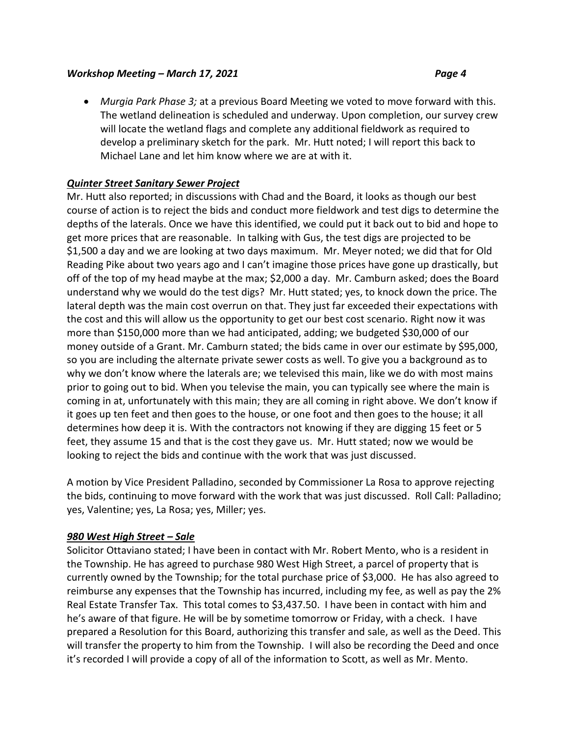*Murgia Park Phase 3;* at a previous Board Meeting we voted to move forward with this. The wetland delineation is scheduled and underway. Upon completion, our survey crew will locate the wetland flags and complete any additional fieldwork as required to develop a preliminary sketch for the park. Mr. Hutt noted; I will report this back to Michael Lane and let him know where we are at with it.

# *Quinter Street Sanitary Sewer Project*

Mr. Hutt also reported; in discussions with Chad and the Board, it looks as though our best course of action is to reject the bids and conduct more fieldwork and test digs to determine the depths of the laterals. Once we have this identified, we could put it back out to bid and hope to get more prices that are reasonable. In talking with Gus, the test digs are projected to be \$1,500 a day and we are looking at two days maximum. Mr. Meyer noted; we did that for Old Reading Pike about two years ago and I can't imagine those prices have gone up drastically, but off of the top of my head maybe at the max; \$2,000 a day. Mr. Camburn asked; does the Board understand why we would do the test digs? Mr. Hutt stated; yes, to knock down the price. The lateral depth was the main cost overrun on that. They just far exceeded their expectations with the cost and this will allow us the opportunity to get our best cost scenario. Right now it was more than \$150,000 more than we had anticipated, adding; we budgeted \$30,000 of our money outside of a Grant. Mr. Camburn stated; the bids came in over our estimate by \$95,000, so you are including the alternate private sewer costs as well. To give you a background as to why we don't know where the laterals are; we televised this main, like we do with most mains prior to going out to bid. When you televise the main, you can typically see where the main is coming in at, unfortunately with this main; they are all coming in right above. We don't know if it goes up ten feet and then goes to the house, or one foot and then goes to the house; it all determines how deep it is. With the contractors not knowing if they are digging 15 feet or 5 feet, they assume 15 and that is the cost they gave us. Mr. Hutt stated; now we would be looking to reject the bids and continue with the work that was just discussed.

A motion by Vice President Palladino, seconded by Commissioner La Rosa to approve rejecting the bids, continuing to move forward with the work that was just discussed. Roll Call: Palladino; yes, Valentine; yes, La Rosa; yes, Miller; yes.

# *980 West High Street – Sale*

Solicitor Ottaviano stated; I have been in contact with Mr. Robert Mento, who is a resident in the Township. He has agreed to purchase 980 West High Street, a parcel of property that is currently owned by the Township; for the total purchase price of \$3,000. He has also agreed to reimburse any expenses that the Township has incurred, including my fee, as well as pay the 2% Real Estate Transfer Tax. This total comes to \$3,437.50. I have been in contact with him and he's aware of that figure. He will be by sometime tomorrow or Friday, with a check. I have prepared a Resolution for this Board, authorizing this transfer and sale, as well as the Deed. This will transfer the property to him from the Township. I will also be recording the Deed and once it's recorded I will provide a copy of all of the information to Scott, as well as Mr. Mento.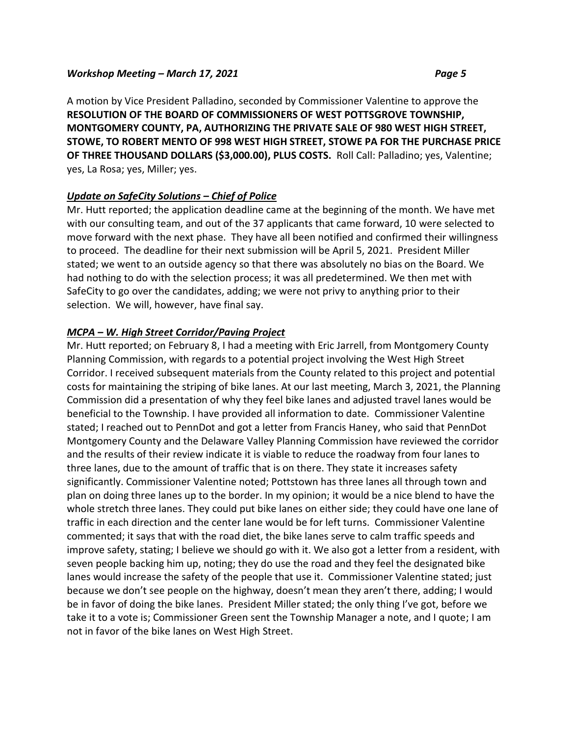A motion by Vice President Palladino, seconded by Commissioner Valentine to approve the **RESOLUTION OF THE BOARD OF COMMISSIONERS OF WEST POTTSGROVE TOWNSHIP, MONTGOMERY COUNTY, PA, AUTHORIZING THE PRIVATE SALE OF 980 WEST HIGH STREET, STOWE, TO ROBERT MENTO OF 998 WEST HIGH STREET, STOWE PA FOR THE PURCHASE PRICE OF THREE THOUSAND DOLLARS (\$3,000.00), PLUS COSTS.** Roll Call: Palladino; yes, Valentine; yes, La Rosa; yes, Miller; yes.

# *Update on SafeCity Solutions – Chief of Police*

Mr. Hutt reported; the application deadline came at the beginning of the month. We have met with our consulting team, and out of the 37 applicants that came forward, 10 were selected to move forward with the next phase. They have all been notified and confirmed their willingness to proceed. The deadline for their next submission will be April 5, 2021. President Miller stated; we went to an outside agency so that there was absolutely no bias on the Board. We had nothing to do with the selection process; it was all predetermined. We then met with SafeCity to go over the candidates, adding; we were not privy to anything prior to their selection. We will, however, have final say.

# *MCPA – W. High Street Corridor/Paving Project*

Mr. Hutt reported; on February 8, I had a meeting with Eric Jarrell, from Montgomery County Planning Commission, with regards to a potential project involving the West High Street Corridor. I received subsequent materials from the County related to this project and potential costs for maintaining the striping of bike lanes. At our last meeting, March 3, 2021, the Planning Commission did a presentation of why they feel bike lanes and adjusted travel lanes would be beneficial to the Township. I have provided all information to date. Commissioner Valentine stated; I reached out to PennDot and got a letter from Francis Haney, who said that PennDot Montgomery County and the Delaware Valley Planning Commission have reviewed the corridor and the results of their review indicate it is viable to reduce the roadway from four lanes to three lanes, due to the amount of traffic that is on there. They state it increases safety significantly. Commissioner Valentine noted; Pottstown has three lanes all through town and plan on doing three lanes up to the border. In my opinion; it would be a nice blend to have the whole stretch three lanes. They could put bike lanes on either side; they could have one lane of traffic in each direction and the center lane would be for left turns. Commissioner Valentine commented; it says that with the road diet, the bike lanes serve to calm traffic speeds and improve safety, stating; I believe we should go with it. We also got a letter from a resident, with seven people backing him up, noting; they do use the road and they feel the designated bike lanes would increase the safety of the people that use it. Commissioner Valentine stated; just because we don't see people on the highway, doesn't mean they aren't there, adding; I would be in favor of doing the bike lanes. President Miller stated; the only thing I've got, before we take it to a vote is; Commissioner Green sent the Township Manager a note, and I quote; I am not in favor of the bike lanes on West High Street.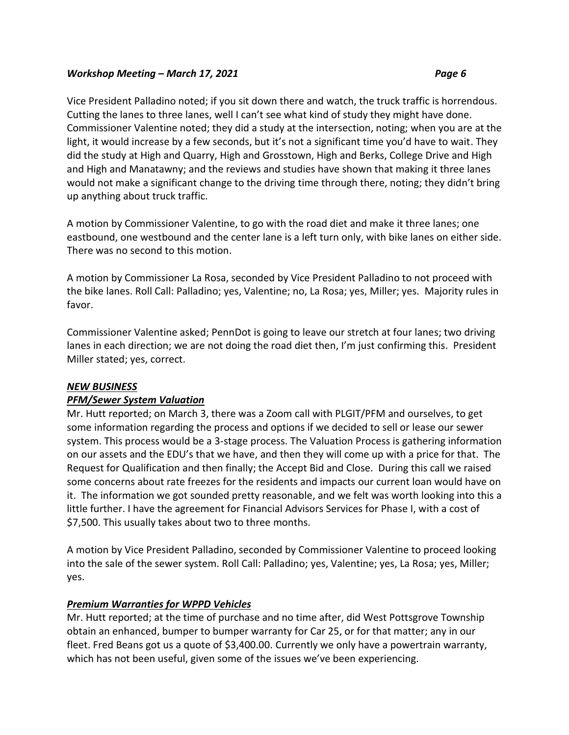Vice President Palladino noted; if you sit down there and watch, the truck traffic is horrendous. Cutting the lanes to three lanes, well I can't see what kind of study they might have done. Commissioner Valentine noted; they did a study at the intersection, noting; when you are at the light, it would increase by a few seconds, but it's not a significant time you'd have to wait. They did the study at High and Quarry, High and Grosstown, High and Berks, College Drive and High and High and Manatawny; and the reviews and studies have shown that making it three lanes would not make a significant change to the driving time through there, noting; they didn't bring up anything about truck traffic.

A motion by Commissioner Valentine, to go with the road diet and make it three lanes; one eastbound, one westbound and the center lane is a left turn only, with bike lanes on either side. There was no second to this motion.

A motion by Commissioner La Rosa, seconded by Vice President Palladino to not proceed with the bike lanes. Roll Call: Palladino; yes, Valentine; no, La Rosa; yes, Miller; yes. Majority rules in favor.

Commissioner Valentine asked; PennDot is going to leave our stretch at four lanes; two driving lanes in each direction; we are not doing the road diet then, I'm just confirming this. President Miller stated; yes, correct.

# *NEW BUSINESS*

# *PFM/Sewer System Valuation*

Mr. Hutt reported; on March 3, there was a Zoom call with PLGIT/PFM and ourselves, to get some information regarding the process and options if we decided to sell or lease our sewer system. This process would be a 3-stage process. The Valuation Process is gathering information on our assets and the EDU's that we have, and then they will come up with a price for that. The Request for Qualification and then finally; the Accept Bid and Close. During this call we raised some concerns about rate freezes for the residents and impacts our current loan would have on it. The information we got sounded pretty reasonable, and we felt was worth looking into this a little further. I have the agreement for Financial Advisors Services for Phase I, with a cost of \$7,500. This usually takes about two to three months.

A motion by Vice President Palladino, seconded by Commissioner Valentine to proceed looking into the sale of the sewer system. Roll Call: Palladino; yes, Valentine; yes, La Rosa; yes, Miller; yes.

# *Premium Warranties for WPPD Vehicles*

Mr. Hutt reported; at the time of purchase and no time after, did West Pottsgrove Township obtain an enhanced, bumper to bumper warranty for Car 25, or for that matter; any in our fleet. Fred Beans got us a quote of \$3,400.00. Currently we only have a powertrain warranty, which has not been useful, given some of the issues we've been experiencing.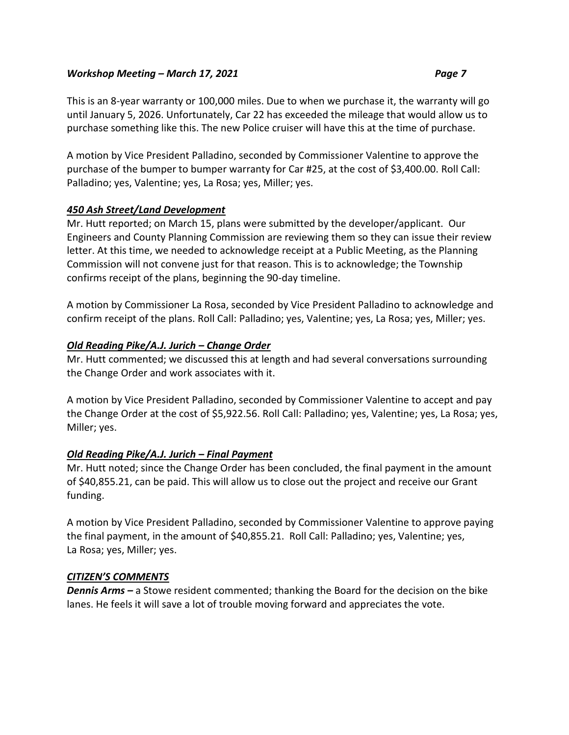This is an 8-year warranty or 100,000 miles. Due to when we purchase it, the warranty will go until January 5, 2026. Unfortunately, Car 22 has exceeded the mileage that would allow us to purchase something like this. The new Police cruiser will have this at the time of purchase.

A motion by Vice President Palladino, seconded by Commissioner Valentine to approve the purchase of the bumper to bumper warranty for Car #25, at the cost of \$3,400.00. Roll Call: Palladino; yes, Valentine; yes, La Rosa; yes, Miller; yes.

# *450 Ash Street/Land Development*

Mr. Hutt reported; on March 15, plans were submitted by the developer/applicant. Our Engineers and County Planning Commission are reviewing them so they can issue their review letter. At this time, we needed to acknowledge receipt at a Public Meeting, as the Planning Commission will not convene just for that reason. This is to acknowledge; the Township confirms receipt of the plans, beginning the 90-day timeline.

A motion by Commissioner La Rosa, seconded by Vice President Palladino to acknowledge and confirm receipt of the plans. Roll Call: Palladino; yes, Valentine; yes, La Rosa; yes, Miller; yes.

# *Old Reading Pike/A.J. Jurich – Change Order*

Mr. Hutt commented; we discussed this at length and had several conversations surrounding the Change Order and work associates with it.

A motion by Vice President Palladino, seconded by Commissioner Valentine to accept and pay the Change Order at the cost of \$5,922.56. Roll Call: Palladino; yes, Valentine; yes, La Rosa; yes, Miller; yes.

# *Old Reading Pike/A.J. Jurich – Final Payment*

Mr. Hutt noted; since the Change Order has been concluded, the final payment in the amount of \$40,855.21, can be paid. This will allow us to close out the project and receive our Grant funding.

A motion by Vice President Palladino, seconded by Commissioner Valentine to approve paying the final payment, in the amount of \$40,855.21. Roll Call: Palladino; yes, Valentine; yes, La Rosa; yes, Miller; yes.

# *CITIZEN'S COMMENTS*

*Dennis Arms –* a Stowe resident commented; thanking the Board for the decision on the bike lanes. He feels it will save a lot of trouble moving forward and appreciates the vote.